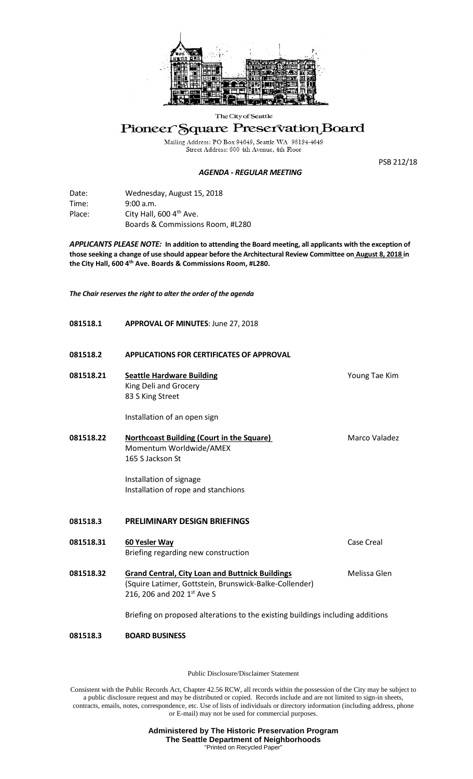

## The City of Seattle

## Pioneer Square Preservation Board

Mailing Address: PO Box 94649, Seattle WA 98124-4649<br>Street Address: 600 4th Avenue, 4th Floor

## *AGENDA - REGULAR MEETING*

PSB 212/18

| Date:  | Wednesday, August 15, 2018          |
|--------|-------------------------------------|
| Time:  | 9:00 a.m.                           |
| Place: | City Hall, 600 4 <sup>th</sup> Ave. |
|        | Boards & Commissions Room, #L280    |

*APPLICANTS PLEASE NOTE:* **In addition to attending the Board meeting, all applicants with the exception of those seeking a change of use should appear before the Architectural Review Committee on August 8, 2018 in the City Hall, 600 4th Ave. Boards & Commissions Room, #L280.**

*The Chair reserves the right to alter the order of the agenda*

| 081518.1  | <b>APPROVAL OF MINUTES: June 27, 2018</b>                                                                                                                         |                   |
|-----------|-------------------------------------------------------------------------------------------------------------------------------------------------------------------|-------------------|
| 081518.2  | <b>APPLICATIONS FOR CERTIFICATES OF APPROVAL</b>                                                                                                                  |                   |
| 081518.21 | <b>Seattle Hardware Building</b><br>King Deli and Grocery<br>83 S King Street<br>Installation of an open sign                                                     | Young Tae Kim     |
| 081518.22 | <b>Northcoast Building (Court in the Square)</b><br>Momentum Worldwide/AMEX<br>165 S Jackson St<br>Installation of signage<br>Installation of rope and stanchions | Marco Valadez     |
| 081518.3  | <b>PRELIMINARY DESIGN BRIEFINGS</b>                                                                                                                               |                   |
| 081518.31 | 60 Yesler Way<br>Briefing regarding new construction                                                                                                              | <b>Case Creal</b> |
| 081518.32 | <b>Grand Central, City Loan and Buttnick Buildings</b><br>(Squire Latimer, Gottstein, Brunswick-Balke-Collender)<br>216, 206 and 202 1st Ave S                    | Melissa Glen      |
|           | Briefing on proposed alterations to the existing buildings including additions                                                                                    |                   |
| 081518.3  | <b>BOARD BUSINESS</b>                                                                                                                                             |                   |

Public Disclosure/Disclaimer Statement

Consistent with the Public Records Act, Chapter 42.56 RCW, all records within the possession of the City may be subject to a public disclosure request and may be distributed or copied. Records include and are not limited to sign-in sheets, contracts, emails, notes, correspondence, etc. Use of lists of individuals or directory information (including address, phone or E-mail) may not be used for commercial purposes.